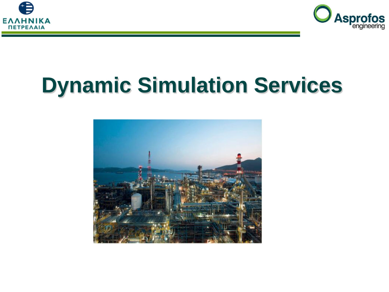



# **Dynamic Simulation Services**

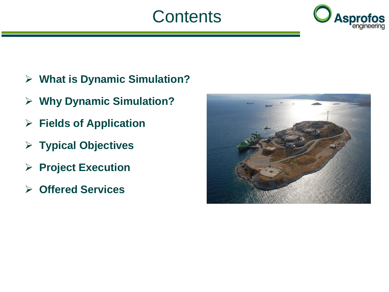#### **Contents**



- **What is Dynamic Simulation?**
- **Why Dynamic Simulation?**
- **Fields of Application**
- **Typical Objectives**
- **Project Execution**
- **Offered Services**

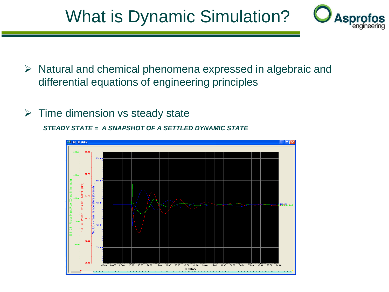### What is Dynamic Simulation?



- $\triangleright$  Natural and chemical phenomena expressed in algebraic and differential equations of engineering principles
- $\triangleright$  Time dimension vs steady state

*STEADY STATE = A SNAPSHOT OF A SETTLED DYNAMIC STATE*

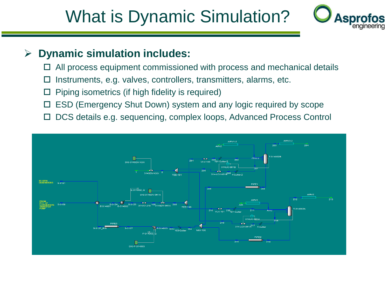#### What is Dynamic Simulation?



#### **Dynamic simulation includes:**

- $\Box$  All process equipment commissioned with process and mechanical details
- $\Box$  Instruments, e.g. valves, controllers, transmitters, alarms, etc.
- $\Box$  Piping isometrics (if high fidelity is required)
- □ ESD (Emergency Shut Down) system and any logic required by scope
- DCS details e.g. sequencing, complex loops, Advanced Process Control

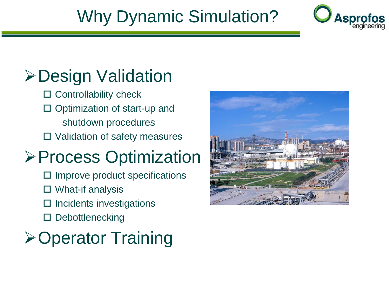### Why Dynamic Simulation?



### **≻Design Validation**

- $\square$  Controllability check
- $\square$  Optimization of start-up and shutdown procedures
- □ Validation of safety measures

### **≻Process Optimization**

- Improve product specifications
- □ What-if analysis
- $\square$  Incidents investigations
- □ Debottlenecking



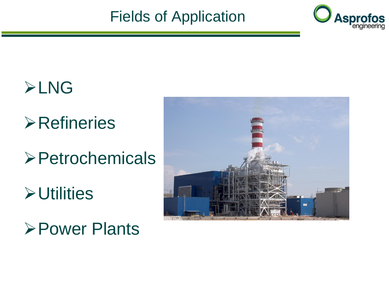#### Fields of Application



### **>LNG**

## **≻Refineries**

**>Petrochemicals** 

**≻Utilities** 

Power Plants

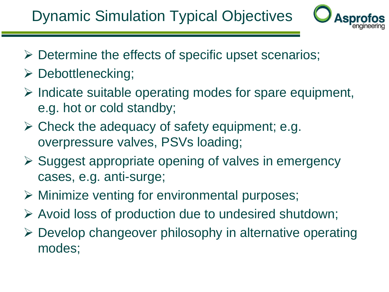#### Dynamic Simulation Typical Objectives



- $\triangleright$  Determine the effects of specific upset scenarios;
- $\triangleright$  Debottlenecking;
- $\triangleright$  Indicate suitable operating modes for spare equipment, e.g. hot or cold standby;
- $\triangleright$  Check the adequacy of safety equipment; e.g. overpressure valves, PSVs loading;
- $\triangleright$  Suggest appropriate opening of valves in emergency cases, e.g. anti-surge;
- Minimize venting for environmental purposes;
- $\triangleright$  Avoid loss of production due to undesired shutdown;
- Develop changeover philosophy in alternative operating modes;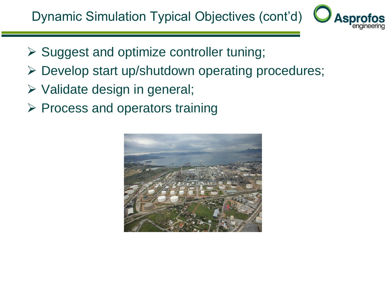

- $\triangleright$  Suggest and optimize controller tuning;
- Develop start up/shutdown operating procedures;
- $\triangleright$  Validate design in general;
- $\triangleright$  Process and operators training

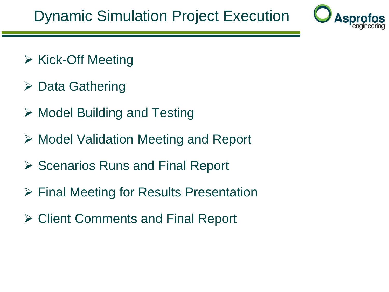

- $\triangleright$  Kick-Off Meeting
- $\triangleright$  Data Gathering
- $\triangleright$  Model Building and Testing
- $\triangleright$  Model Validation Meeting and Report
- $\triangleright$  Scenarios Runs and Final Report
- Final Meeting for Results Presentation
- **≻ Client Comments and Final Report**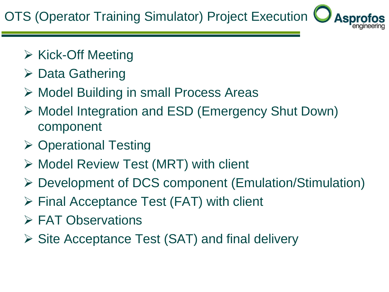OTS (Operator Training Simulator) Project Execution

- $\triangleright$  Kick-Off Meeting
- $\triangleright$  Data Gathering
- Model Building in small Process Areas
- Model Integration and ESD (Emergency Shut Down) component
- $\triangleright$  Operational Testing
- $\triangleright$  Model Review Test (MRT) with client
- Development of DCS component (Emulation/Stimulation)
- Final Acceptance Test (FAT) with client
- **► FAT Observations**
- $\triangleright$  Site Acceptance Test (SAT) and final delivery